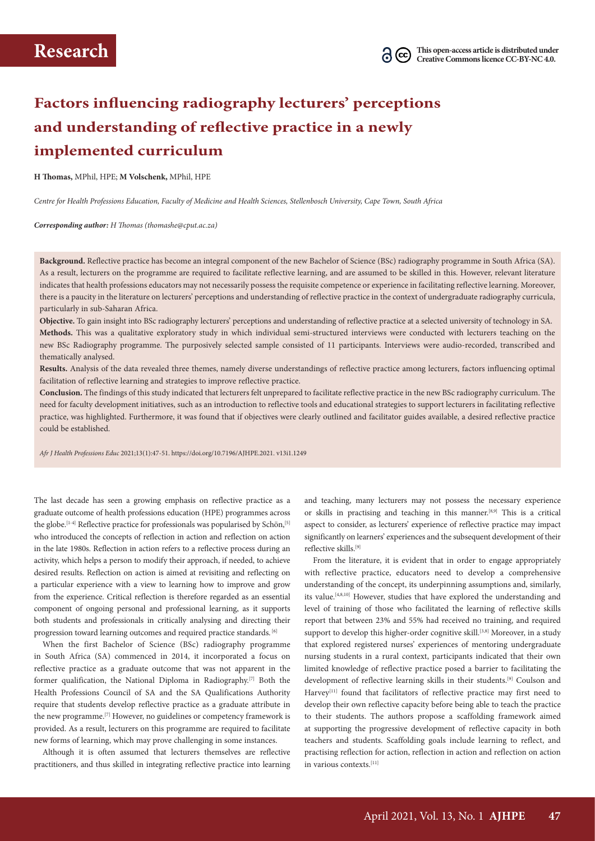# **Factors influencing radiography lecturers' perceptions and understanding of reflective practice in a newly implemented curriculum**

**H Thomas,** MPhil, HPE; **M Volschenk,** MPhil, HPE

*Centre for Health Professions Education, Faculty of Medicine and Health Sciences, Stellenbosch University, Cape Town, South Africa*

*Corresponding author: H Thomas (thomashe@cput.ac.za)*

**Background.** Reflective practice has become an integral component of the new Bachelor of Science (BSc) radiography programme in South Africa (SA). As a result, lecturers on the programme are required to facilitate reflective learning, and are assumed to be skilled in this. However, relevant literature indicates that health professions educators may not necessarily possess the requisite competence or experience in facilitating reflective learning. Moreover, there is a paucity in the literature on lecturers' perceptions and understanding of reflective practice in the context of undergraduate radiography curricula, particularly in sub-Saharan Africa.

**Objective.** To gain insight into BSc radiography lecturers' perceptions and understanding of reflective practice at a selected university of technology in SA. **Methods.** This was a qualitative exploratory study in which individual semi-structured interviews were conducted with lecturers teaching on the new BSc Radiography programme. The purposively selected sample consisted of 11 participants. Interviews were audio-recorded, transcribed and thematically analysed.

**Results.** Analysis of the data revealed three themes, namely diverse understandings of reflective practice among lecturers, factors influencing optimal facilitation of reflective learning and strategies to improve reflective practice.

**Conclusion.** The findings of this study indicated that lecturers felt unprepared to facilitate reflective practice in the new BSc radiography curriculum. The need for faculty development initiatives, such as an introduction to reflective tools and educational strategies to support lecturers in facilitating reflective practice, was highlighted. Furthermore, it was found that if objectives were clearly outlined and facilitator guides available, a desired reflective practice could be established.

*Afr J Health Professions Educ* 2021;13(1):47-51. https://doi.org/10.7196/AJHPE.2021. v13i1.1249

The last decade has seen a growing emphasis on reflective practice as a graduate outcome of health professions education (HPE) programmes across the globe.<sup>[1-4]</sup> Reflective practice for professionals was popularised by Schön,<sup>[5]</sup> who introduced the concepts of reflection in action and reflection on action in the late 1980s. Reflection in action refers to a reflective process during an activity, which helps a person to modify their approach, if needed, to achieve desired results. Reflection on action is aimed at revisiting and reflecting on a particular experience with a view to learning how to improve and grow from the experience. Critical reflection is therefore regarded as an essential component of ongoing personal and professional learning, as it supports both students and professionals in critically analysing and directing their progression toward learning outcomes and required practice standards. [6]

When the first Bachelor of Science (BSc) radiography programme in South Africa (SA) commenced in 2014, it incorporated a focus on reflective practice as a graduate outcome that was not apparent in the former qualification, the National Diploma in Radiography.[7] Both the Health Professions Council of SA and the SA Qualifications Authority require that students develop reflective practice as a graduate attribute in the new programme.[7] However, no guidelines or competency framework is provided. As a result, lecturers on this programme are required to facilitate new forms of learning, which may prove challenging in some instances.

Although it is often assumed that lecturers themselves are reflective practitioners, and thus skilled in integrating reflective practice into learning

and teaching, many lecturers may not possess the necessary experience or skills in practising and teaching in this manner.[8,9] This is a critical aspect to consider, as lecturers' experience of reflective practice may impact significantly on learners' experiences and the subsequent development of their reflective skills.[9]

From the literature, it is evident that in order to engage appropriately with reflective practice, educators need to develop a comprehensive understanding of the concept, its underpinning assumptions and, similarly, its value.[4,8,10] However, studies that have explored the understanding and level of training of those who facilitated the learning of reflective skills report that between 23% and 55% had received no training, and required support to develop this higher-order cognitive skill.<sup>[3,8]</sup> Moreover, in a study that explored registered nurses' experiences of mentoring undergraduate nursing students in a rural context, participants indicated that their own limited knowledge of reflective practice posed a barrier to facilitating the development of reflective learning skills in their students.[9] Coulson and Harvey<sup>[11]</sup> found that facilitators of reflective practice may first need to develop their own reflective capacity before being able to teach the practice to their students. The authors propose a scaffolding framework aimed at supporting the progressive development of reflective capacity in both teachers and students. Scaffolding goals include learning to reflect, and practising reflection for action, reflection in action and reflection on action in various contexts.[11]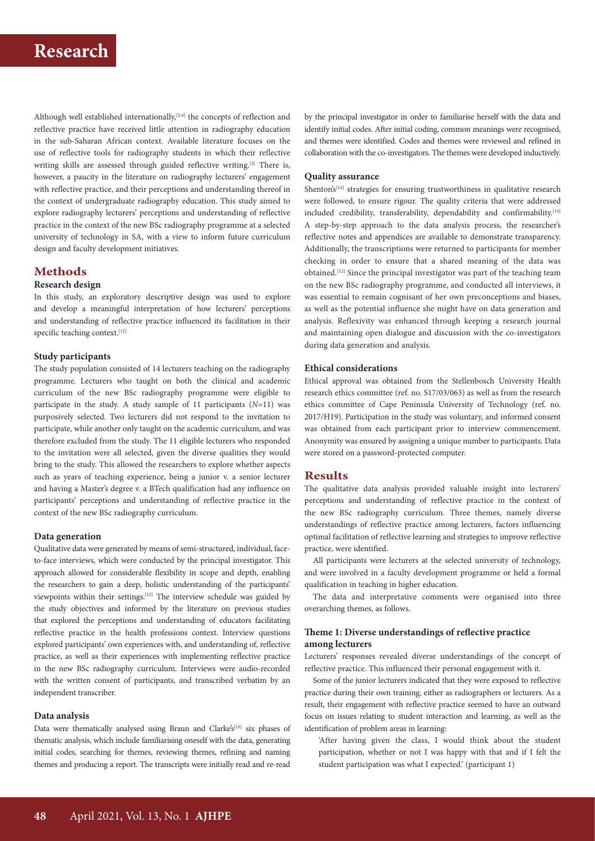Although well established internationally,<sup>[2,4]</sup> the concepts of reflection and reflective practice have received little attention in radiography education in the sub-Saharan African context. Available literature focuses on the use of reflective tools for radiography students in which their reflective writing skills are assessed through guided reflective writing.<sup>[2]</sup> There is, however, a paucity in the literature on radiography lecturers' engagement with reflective practice, and their perceptions and understanding thereof in the context of undergraduate radiography education. This study aimed to explore radiography lecturers' perceptions and understanding of reflective practice in the context of the new BSc radiography programme at a selected university of technology in SA, with a view to inform future curriculum design and faculty development initiatives.

## **Methods**

## **Research design**

In this study, an exploratory descriptive design was used to explore and develop a meaningful interpretation of how lecturers' perceptions and understanding of reflective practice influenced its facilitation in their specific teaching context.<sup>[12]</sup>

### **Study participants**

The study population consisted of 14 lecturers teaching on the radiography programme. Lecturers who taught on both the clinical and academic curriculum of the new BSc radiography programme were eligible to participate in the study. A study sample of 11 participants (*N*=11) was purposively selected. Two lecturers did not respond to the invitation to participate, while another only taught on the academic curriculum, and was therefore excluded from the study. The 11 eligible lecturers who responded to the invitation were all selected, given the diverse qualities they would bring to the study. This allowed the researchers to explore whether aspects such as years of teaching experience, being a junior v. a senior lecturer and having a Master's degree v. a BTech qualification had any influence on participants' perceptions and understanding of reflective practice in the context of the new BSc radiography curriculum.

#### **Data generation**

Qualitative data were generated by means of semi-structured, individual, faceto-face interviews, which were conducted by the principal investigator. This approach allowed for considerable flexibility in scope and depth, enabling the researchers to gain a deep, holistic understanding of the participants' viewpoints within their settings.[12] The interview schedule was guided by the study objectives and informed by the literature on previous studies that explored the perceptions and understanding of educators facilitating reflective practice in the health professions context. Interview questions explored participants' own experiences with, and understanding of, reflective practice, as well as their experiences with implementing reflective practice in the new BSc radiography curriculum. Interviews were audio-recorded with the written consent of participants, and transcribed verbatim by an independent transcriber.

## **Data analysis**

Data were thematically analysed using Braun and Clarke's<sup>[13]</sup> six phases of thematic analysis, which include familiarising oneself with the data, generating initial codes, searching for themes, reviewing themes, refining and naming themes and producing a report. The transcripts were initially read and re-read by the principal investigator in order to familiarise herself with the data and identify initial codes. After initial coding, common meanings were recognised, and themes were identified. Codes and themes were reviewed and refined in collaboration with the co-investigators. The themes were developed inductively.

#### **Quality assurance**

Shenton's<sup>[14]</sup> strategies for ensuring trustworthiness in qualitative research were followed, to ensure rigour. The quality criteria that were addressed included credibility, transferability, dependability and confirmability.<sup>[14]</sup> A step-by-step approach to the data analysis process, the researcher's reflective notes and appendices are available to demonstrate transparency. Additionally, the transcriptions were returned to participants for member checking in order to ensure that a shared meaning of the data was obtained.[12] Since the principal investigator was part of the teaching team on the new BSc radiography programme, and conducted all interviews, it was essential to remain cognisant of her own preconceptions and biases, as well as the potential influence she might have on data generation and analysis. Reflexivity was enhanced through keeping a research journal and maintaining open dialogue and discussion with the co-investigators during data generation and analysis.

## **Ethical considerations**

Ethical approval was obtained from the Stellenbosch University Health research ethics committee (ref. no. S17/03/063) as well as from the research ethics committee of Cape Peninsula University of Technology (ref. no. 2017/H19). Participation in the study was voluntary, and informed consent was obtained from each participant prior to interview commencement. Anonymity was ensured by assigning a unique number to participants. Data were stored on a password-protected computer.

### **Results**

The qualitative data analysis provided valuable insight into lecturers' perceptions and understanding of reflective practice in the context of the new BSc radiography curriculum. Three themes, namely diverse understandings of reflective practice among lecturers, factors influencing optimal facilitation of reflective learning and strategies to improve reflective practice, were identified.

All participants were lecturers at the selected university of technology, and were involved in a faculty development programme or held a formal qualification in teaching in higher education.

The data and interpretative comments were organised into three overarching themes, as follows.

## **Theme 1: Diverse understandings of reflective practice among lecturers**

Lecturers' responses revealed diverse understandings of the concept of reflective practice. This influenced their personal engagement with it.

Some of the junior lecturers indicated that they were exposed to reflective practice during their own training, either as radiographers or lecturers. As a result, their engagement with reflective practice seemed to have an outward focus on issues relating to student interaction and learning, as well as the identification of problem areas in learning:

'After having given the class, I would think about the student participation, whether or not I was happy with that and if I felt the student participation was what I expected.' (participant 1)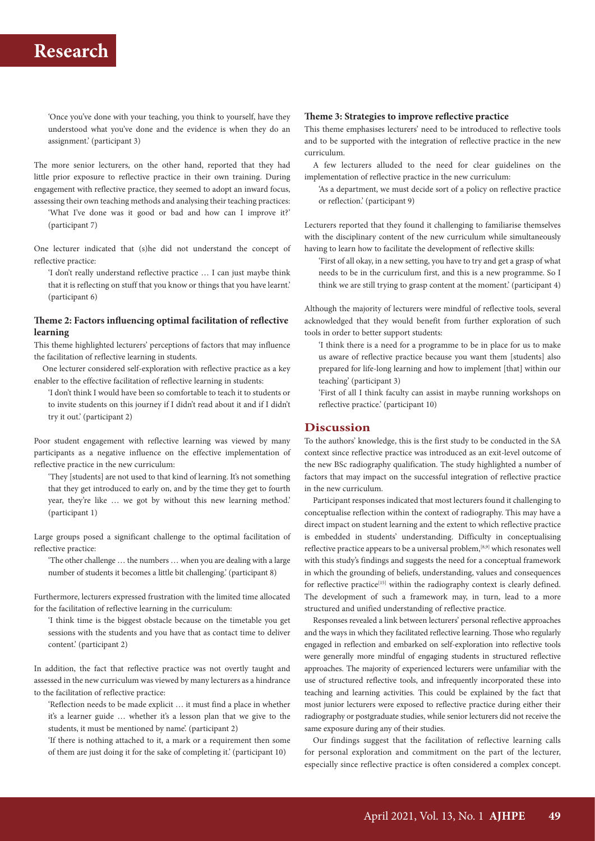'Once you've done with your teaching, you think to yourself, have they understood what you've done and the evidence is when they do an assignment.' (participant 3)

The more senior lecturers, on the other hand, reported that they had little prior exposure to reflective practice in their own training. During engagement with reflective practice, they seemed to adopt an inward focus, assessing their own teaching methods and analysing their teaching practices:

'What I've done was it good or bad and how can I improve it?' (participant 7)

One lecturer indicated that (s)he did not understand the concept of reflective practice:

'I don't really understand reflective practice … I can just maybe think that it is reflecting on stuff that you know or things that you have learnt.' (participant 6)

## **Theme 2: Factors influencing optimal facilitation of reflective learning**

This theme highlighted lecturers' perceptions of factors that may influence the facilitation of reflective learning in students.

One lecturer considered self-exploration with reflective practice as a key enabler to the effective facilitation of reflective learning in students:

'I don't think I would have been so comfortable to teach it to students or to invite students on this journey if I didn't read about it and if I didn't try it out.' (participant 2)

Poor student engagement with reflective learning was viewed by many participants as a negative influence on the effective implementation of reflective practice in the new curriculum:

'They [students] are not used to that kind of learning. It's not something that they get introduced to early on, and by the time they get to fourth year, they're like … we got by without this new learning method.' (participant 1)

Large groups posed a significant challenge to the optimal facilitation of reflective practice:

'The other challenge … the numbers … when you are dealing with a large number of students it becomes a little bit challenging.' (participant 8)

Furthermore, lecturers expressed frustration with the limited time allocated for the facilitation of reflective learning in the curriculum:

'I think time is the biggest obstacle because on the timetable you get sessions with the students and you have that as contact time to deliver content.' (participant 2)

In addition, the fact that reflective practice was not overtly taught and assessed in the new curriculum was viewed by many lecturers as a hindrance to the facilitation of reflective practice:

'Reflection needs to be made explicit … it must find a place in whether it's a learner guide … whether it's a lesson plan that we give to the students, it must be mentioned by name'. (participant 2)

'If there is nothing attached to it, a mark or a requirement then some of them are just doing it for the sake of completing it.' (participant 10)

### **Theme 3: Strategies to improve reflective practice**

This theme emphasises lecturers' need to be introduced to reflective tools and to be supported with the integration of reflective practice in the new curriculum.

A few lecturers alluded to the need for clear guidelines on the implementation of reflective practice in the new curriculum:

'As a department, we must decide sort of a policy on reflective practice or reflection.' (participant 9)

Lecturers reported that they found it challenging to familiarise themselves with the disciplinary content of the new curriculum while simultaneously having to learn how to facilitate the development of reflective skills:

'First of all okay, in a new setting, you have to try and get a grasp of what needs to be in the curriculum first, and this is a new programme. So I think we are still trying to grasp content at the moment.' (participant 4)

Although the majority of lecturers were mindful of reflective tools, several acknowledged that they would benefit from further exploration of such tools in order to better support students:

'I think there is a need for a programme to be in place for us to make us aware of reflective practice because you want them [students] also prepared for life-long learning and how to implement [that] within our teaching' (participant 3)

'First of all I think faculty can assist in maybe running workshops on reflective practice.' (participant 10)

### **Discussion**

To the authors' knowledge, this is the first study to be conducted in the SA context since reflective practice was introduced as an exit-level outcome of the new BSc radiography qualification. The study highlighted a number of factors that may impact on the successful integration of reflective practice in the new curriculum.

Participant responses indicated that most lecturers found it challenging to conceptualise reflection within the context of radiography. This may have a direct impact on student learning and the extent to which reflective practice is embedded in students' understanding. Difficulty in conceptualising reflective practice appears to be a universal problem,<sup>[8,9]</sup> which resonates well with this study's findings and suggests the need for a conceptual framework in which the grounding of beliefs, understanding, values and consequences for reflective practice<sup>[15]</sup> within the radiography context is clearly defined. The development of such a framework may, in turn, lead to a more structured and unified understanding of reflective practice.

Responses revealed a link between lecturers' personal reflective approaches and the ways in which they facilitated reflective learning. Those who regularly engaged in reflection and embarked on self-exploration into reflective tools were generally more mindful of engaging students in structured reflective approaches. The majority of experienced lecturers were unfamiliar with the use of structured reflective tools, and infrequently incorporated these into teaching and learning activities. This could be explained by the fact that most junior lecturers were exposed to reflective practice during either their radiography or postgraduate studies, while senior lecturers did not receive the same exposure during any of their studies.

Our findings suggest that the facilitation of reflective learning calls for personal exploration and commitment on the part of the lecturer, especially since reflective practice is often considered a complex concept.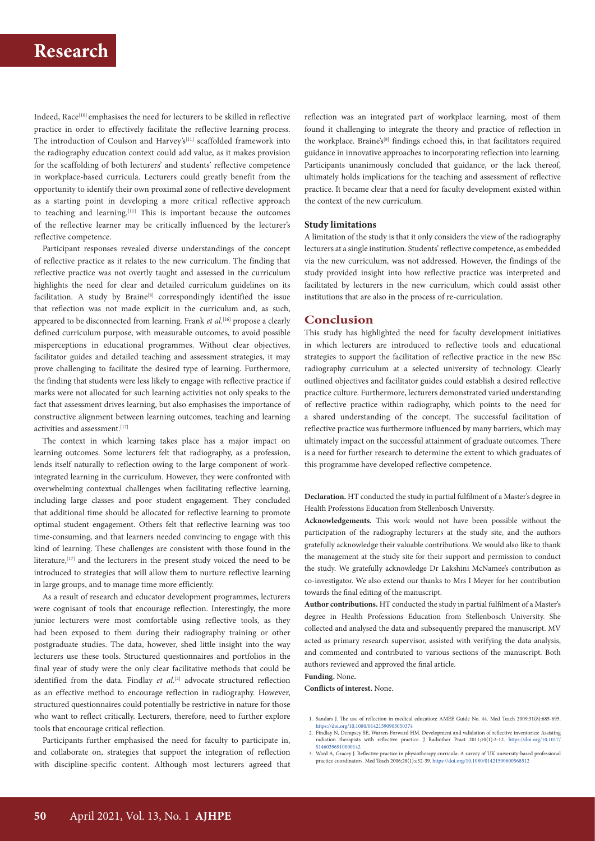Indeed, Race<sup>[10]</sup> emphasises the need for lecturers to be skilled in reflective practice in order to effectively facilitate the reflective learning process. The introduction of Coulson and Harvey's<sup>[11]</sup> scaffolded framework into the radiography education context could add value, as it makes provision for the scaffolding of both lecturers' and students' reflective competence in workplace-based curricula. Lecturers could greatly benefit from the opportunity to identify their own proximal zone of reflective development as a starting point in developing a more critical reflective approach to teaching and learning.<sup>[11]</sup> This is important because the outcomes of the reflective learner may be critically influenced by the lecturer's reflective competence.

Participant responses revealed diverse understandings of the concept of reflective practice as it relates to the new curriculum. The finding that reflective practice was not overtly taught and assessed in the curriculum highlights the need for clear and detailed curriculum guidelines on its facilitation. A study by Braine<sup>[8]</sup> correspondingly identified the issue that reflection was not made explicit in the curriculum and, as such, appeared to be disconnected from learning. Frank *et al*. [16] propose a clearly defined curriculum purpose, with measurable outcomes, to avoid possible misperceptions in educational programmes. Without clear objectives, facilitator guides and detailed teaching and assessment strategies, it may prove challenging to facilitate the desired type of learning. Furthermore, the finding that students were less likely to engage with reflective practice if marks were not allocated for such learning activities not only speaks to the fact that assessment drives learning, but also emphasises the importance of constructive alignment between learning outcomes, teaching and learning activities and assessment.<sup>[17]</sup>

The context in which learning takes place has a major impact on learning outcomes. Some lecturers felt that radiography, as a profession, lends itself naturally to reflection owing to the large component of workintegrated learning in the curriculum. However, they were confronted with overwhelming contextual challenges when facilitating reflective learning, including large classes and poor student engagement. They concluded that additional time should be allocated for reflective learning to promote optimal student engagement. Others felt that reflective learning was too time-consuming, and that learners needed convincing to engage with this kind of learning. These challenges are consistent with those found in the literature,<sup>[17]</sup> and the lecturers in the present study voiced the need to be introduced to strategies that will allow them to nurture reflective learning in large groups, and to manage time more efficiently.

As a result of research and educator development programmes, lecturers were cognisant of tools that encourage reflection. Interestingly, the more junior lecturers were most comfortable using reflective tools, as they had been exposed to them during their radiography training or other postgraduate studies. The data, however, shed little insight into the way lecturers use these tools. Structured questionnaires and portfolios in the final year of study were the only clear facilitative methods that could be identified from the data. Findlay *et al*. [2] advocate structured reflection as an effective method to encourage reflection in radiography. However, structured questionnaires could potentially be restrictive in nature for those who want to reflect critically. Lecturers, therefore, need to further explore tools that encourage critical reflection.

Participants further emphasised the need for faculty to participate in, and collaborate on, strategies that support the integration of reflection with discipline-specific content. Although most lecturers agreed that reflection was an integrated part of workplace learning, most of them found it challenging to integrate the theory and practice of reflection in the workplace. Braine's<sup>[8]</sup> findings echoed this, in that facilitators required guidance in innovative approaches to incorporating reflection into learning. Participants unanimously concluded that guidance, or the lack thereof, ultimately holds implications for the teaching and assessment of reflective practice. It became clear that a need for faculty development existed within the context of the new curriculum.

#### **Study limitations**

A limitation of the study is that it only considers the view of the radiography lecturers at a single institution. Students' reflective competence, as embedded via the new curriculum, was not addressed. However, the findings of the study provided insight into how reflective practice was interpreted and facilitated by lecturers in the new curriculum, which could assist other institutions that are also in the process of re-curriculation.

#### **Conclusion**

This study has highlighted the need for faculty development initiatives in which lecturers are introduced to reflective tools and educational strategies to support the facilitation of reflective practice in the new BSc radiography curriculum at a selected university of technology. Clearly outlined objectives and facilitator guides could establish a desired reflective practice culture. Furthermore, lecturers demonstrated varied understanding of reflective practice within radiography, which points to the need for a shared understanding of the concept. The successful facilitation of reflective practice was furthermore influenced by many barriers, which may ultimately impact on the successful attainment of graduate outcomes. There is a need for further research to determine the extent to which graduates of this programme have developed reflective competence.

**Declaration.** HT conducted the study in partial fulfilment of a Master's degree in Health Professions Education from Stellenbosch University.

**Acknowledgements.** This work would not have been possible without the participation of the radiography lecturers at the study site, and the authors gratefully acknowledge their valuable contributions. We would also like to thank the management at the study site for their support and permission to conduct the study. We gratefully acknowledge Dr Lakshini McNamee's contribution as co-investigator. We also extend our thanks to Mrs I Meyer for her contribution towards the final editing of the manuscript.

**Author contributions.** HT conducted the study in partial fulfilment of a Master's degree in Health Professions Education from Stellenbosch University. She collected and analysed the data and subsequently prepared the manuscript. MV acted as primary research supervisor, assisted with verifying the data analysis, and commented and contributed to various sections of the manuscript. Both authors reviewed and approved the final article.

**Funding.** None**.**

**Conflicts of interest.** None.

- 1. Sandars J. The use of reflection in medical education: AMEE Guide No. 44. Med Teach 2009;31(8):685-695.
- <https://doi.org/10.1080/01421590903050374><br>2. Findlay N, Dempsey SE, Warren-Forward HM. Development and validation of reflective inventories: Assisting<br>1. Fradiation therapists with reflective practice. J Radiother P [S1460396910000142](https://doi.org/10.1017/S1460396910000142)
- 3. Ward A, Gracey J. Reflective practice in physiotherapy curricula: A survey of UK university-based professional practice coordinators. Med Teach 2006;28(1):e32-39. <https://doi.org/10.1080/01421590600568512>